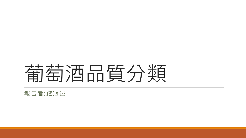# 葡萄酒品質分類

報告者:錢冠邑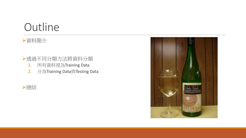### **Outline**

### 資料簡介

- 透過不同分類方法將資料分類
	- 1. 所有資料視為Training Data
	- 2. 分為Training Data與Testing Data



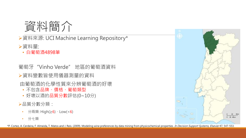

資料來源: UCI Machine Learning Repository\*

資料量:

• 白葡萄酒4898筆

葡萄牙"Vinho Verde" 地區的葡萄酒資料 資料變數皆使用儀器測量的資料

由葡萄酒的化學性質來分辨葡萄酒的好壞

- 不包含品牌、價格、葡萄類型
- 好壞以酒的品質分數評估(0~10分)

品質分數分類:

- 分兩類: High(≥6)、Low(<6)
- 分七類



\*P. Cortez, A. Cerdeira, F. Almeida, T. Matos and J. Reis. (2009). Modeling wine preferences by data mining from physicochemical properties. *In Decision Support Systems, Elsevier* 47, 547-553.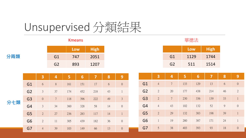## Unsupervised 分類結果



分兩類

#### Kmeans 華德法

|                | Low  | <b>High</b> |
|----------------|------|-------------|
| G1             | 1129 | 1744        |
| G <sub>2</sub> | 511  | 1514        |

|         |                | $\overline{\mathbf{3}}$ | 4              | 5   | 6   | 7   | 8  | 9                |    |
|---------|----------------|-------------------------|----------------|-----|-----|-----|----|------------------|----|
| 七類<br>分 | G <sub>1</sub> | $\sqrt{6}$              | $8\,$          | 161 | 151 | 17  | 6  | $\theta$         | G: |
|         | G <sub>2</sub> | $\mathfrak{Z}$          | 37             | 174 | 452 | 218 | 43 | $\mathbf{1}$     | G2 |
|         | G <sub>3</sub> | $\theta$                | $\overline{7}$ | 118 | 396 | 222 | 49 | $\mathfrak{Z}$   | G3 |
|         | G <sub>4</sub> | 3                       | 34             | 360 | 328 | 58  | 14 | $\theta$         | G4 |
|         | G <sub>5</sub> | $\overline{2}$          | 27             | 236 | 283 | 117 | 14 | $\mathbf{1}$     | G! |
|         | G <sub>6</sub> | $\overline{2}$          | 11             | 305 | 439 | 182 | 36 | $\boldsymbol{0}$ | G  |
|         | G7             | $\overline{4}$          | 39             | 103 | 149 | 66  | 13 | $\sqrt{0}$       | G. |

|                | 3              | 4              | 5   | 6   | 7   | 8  | 9              |
|----------------|----------------|----------------|-----|-----|-----|----|----------------|
| G <sub>1</sub> | $\overline{4}$ | $\overline{7}$ | 133 | 129 | 13  | 6  | $\overline{0}$ |
| G <sub>2</sub> | $\overline{2}$ | 20             | 177 | 438 | 214 | 46 | $\overline{2}$ |
| G <sub>3</sub> | $\overline{2}$ | $\overline{7}$ | 230 | 336 | 139 | 33 | $\mathbf{1}$   |
| G <sub>4</sub> | $\overline{4}$ | 43             | 102 | 132 | 52  | 9  | $\overline{0}$ |
| G <sub>5</sub> | $\overline{2}$ | 29             | 132 | 383 | 198 | 39 | $\mathbf{1}$   |
| G <sub>6</sub> | $\mathbf{1}$   | 19             | 280 | 387 | 171 | 24 | $\mathbf{1}$   |
| G7             | 5              | 38             | 403 | 393 | 93  | 18 | $\overline{0}$ |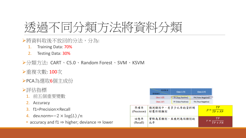

- ▶將資料取後不放回的分法,分為:
	- 1. Training Data: 70%
	- 2. Testing Data: 30%
- 分類方法: CART、C5.0、Random Forest、SVM、KSVM
- ▶重複次數: 100次
- PCA為選取6個主成份

#### 評估指標

- 1. 前五個重要變數
- 2. Accuracy
- 3. f1=Precision×Recall
- 4. dev.norm= $-2 \times log(L) / n$
- accuracy and  $f1 \Rightarrow$  higher; deviance  $\Rightarrow$  lower

|                    | 預測類別<br>實際類別              | Class $1(T)$        |                      | Class 2 (F)        |                               |
|--------------------|---------------------------|---------------------|----------------------|--------------------|-------------------------------|
|                    | Class $1(T)$              | MTP (True Positive) | FN (False Negative)* |                    |                               |
|                    | Class $2(F)$              | FP (False Positive) |                      | TN (True Negative) |                               |
| 準確率<br>(Precision) | 預測類別中,有多少比率的資料剛<br>好屬於該類別 |                     |                      |                    | TР<br>$p = \frac{T}{TP + FP}$ |
| 回想率<br>(Recall)    | 實際為某類別,且被判為該類別的<br>比率     |                     |                      |                    | TР<br>$TP + FN$               |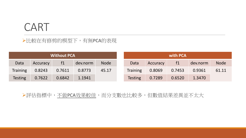### CART

▶比較在有修剪的模型下,有無PCA的表現

|                |          | <b>Without PCA</b> |          |             |                |          | with PCA |          |             |
|----------------|----------|--------------------|----------|-------------|----------------|----------|----------|----------|-------------|
| Data           | Accuracy | f1                 | dev.norm | <b>Node</b> | Data           | Accuracy | f1       | dev.norm | <b>Node</b> |
| Training       | 0.8243   | 0.7611             | 0.8773   | 45.17       | Training       | 0.8069   | 0.7453   | 0.9361   | 61.11       |
| <b>Testing</b> | 0.7622   | 0.6842             | 1.1941   |             | <b>Testing</b> | 0.7289   | 0.6520   | 1.3470   |             |

評估指標中,不做PCA效果較佳,而分支數也比較多,但數值結果差異並不太大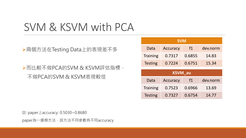### SVM & KSVM with PCA

兩個方法在Testing Data上的表現差不多

而比較不做PCA的SVM & KSVM評估指標, 不做PCA的SVM & KSVM表現較佳

| <b>SVM</b>      |                 |        |          |  |  |  |  |
|-----------------|-----------------|--------|----------|--|--|--|--|
| Data            | <b>Accuracy</b> | $f_1$  | dev.norm |  |  |  |  |
| <b>Training</b> | 0.7317          | 0.6855 | 14.83    |  |  |  |  |
| <b>Testing</b>  | 0.7224          | 0.6751 | 15.34    |  |  |  |  |
| <b>KSVM_au</b>  |                 |        |          |  |  |  |  |
| Data            | <b>Accuracy</b> | f1     | dev.norm |  |  |  |  |
| <b>Training</b> | 0.7523          | 0.6966 | 13.69    |  |  |  |  |
| <b>Testing</b>  | 0.7327          | 0.6754 | 14.77    |  |  |  |  |

註: paper上accuracy: 0.5030~0.8680

paper為一選模方法,該方法不同參數有不同accuracy